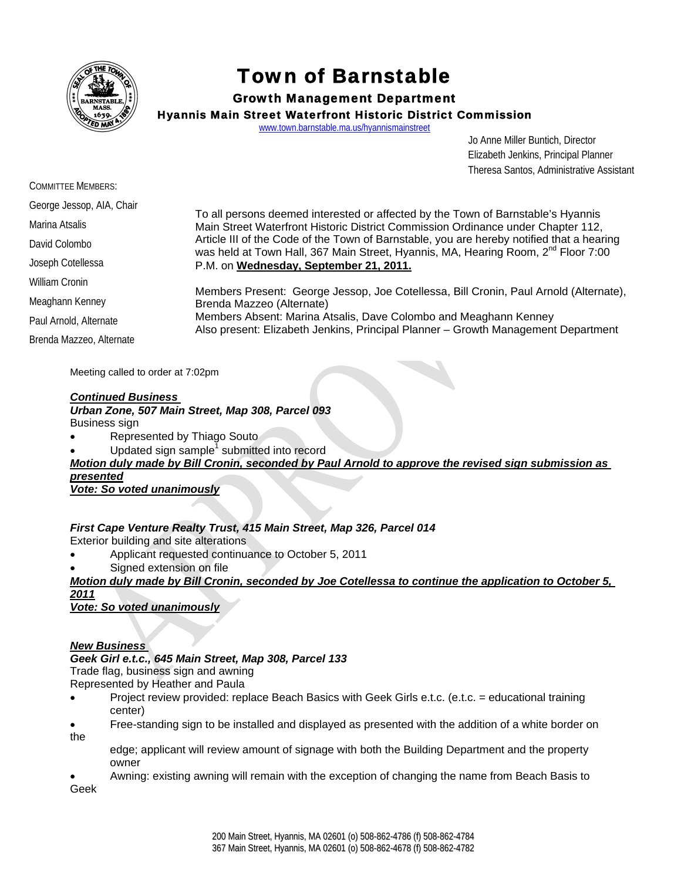

# Town of Barnstable

# Growth Management Department

Hyannis Main Street Waterfront Historic District Commission

www.town.barnstable.ma.us/hyannismainstreet

 Jo Anne Miller Buntich, Director Elizabeth Jenkins, Principal Planner Theresa Santos, Administrative Assistant

| <b>COMMITTEE MEMBERS:</b> |                                                                                                                                                                                                                                                                                                                                                                                                              |
|---------------------------|--------------------------------------------------------------------------------------------------------------------------------------------------------------------------------------------------------------------------------------------------------------------------------------------------------------------------------------------------------------------------------------------------------------|
| George Jessop, AIA, Chair |                                                                                                                                                                                                                                                                                                                                                                                                              |
| Marina Atsalis            | To all persons deemed interested or affected by the Town of Barnstable's Hyannis<br>Main Street Waterfront Historic District Commission Ordinance under Chapter 112,<br>Article III of the Code of the Town of Barnstable, you are hereby notified that a hearing<br>was held at Town Hall, 367 Main Street, Hyannis, MA, Hearing Room, 2 <sup>nd</sup> Floor 7:00<br>P.M. on Wednesday, September 21, 2011. |
| David Colombo             |                                                                                                                                                                                                                                                                                                                                                                                                              |
| Joseph Cotellessa         |                                                                                                                                                                                                                                                                                                                                                                                                              |
| William Cronin            | Members Present: George Jessop, Joe Cotellessa, Bill Cronin, Paul Arnold (Alternate),<br>Brenda Mazzeo (Alternate)<br>Members Absent: Marina Atsalis, Dave Colombo and Meaghann Kenney<br>Also present: Elizabeth Jenkins, Principal Planner - Growth Management Department                                                                                                                                  |
| Meaghann Kenney           |                                                                                                                                                                                                                                                                                                                                                                                                              |
| Paul Arnold, Alternate    |                                                                                                                                                                                                                                                                                                                                                                                                              |
| Brenda Mazzeo, Alternate  |                                                                                                                                                                                                                                                                                                                                                                                                              |

Meeting called to order at 7:02pm

## *Continued Business*

#### *Urban Zone, 507 Main Street, Map 308, Parcel 093*  Business sign

- Represented by Thiago Souto
- $\bullet$  Updated sign sample<sup>1</sup> submitted into record

*Motion duly made by Bill Cronin, seconded by Paul Arnold to approve the revised sign submission as presented*

*Vote: So voted unanimously*

# *First Cape Venture Realty Trust, 415 Main Street, Map 326, Parcel 014*

Exterior building and site alterations

- Applicant requested continuance to October 5, 2011
- Signed extension on file

# *Motion duly made by Bill Cronin, seconded by Joe Cotellessa to continue the application to October 5, 2011*

*Vote: So voted unanimously*

# *New Business*

#### *Geek Girl e.t.c., 645 Main Street, Map 308, Parcel 133*

Trade flag, business sign and awning

- Represented by Heather and Paula
- Project review provided: replace Beach Basics with Geek Girls e.t.c. (e.t.c. = educational training center)
- Free-standing sign to be installed and displayed as presented with the addition of a white border on the
	- edge; applicant will review amount of signage with both the Building Department and the property owner

 Awning: existing awning will remain with the exception of changing the name from Beach Basis to Geek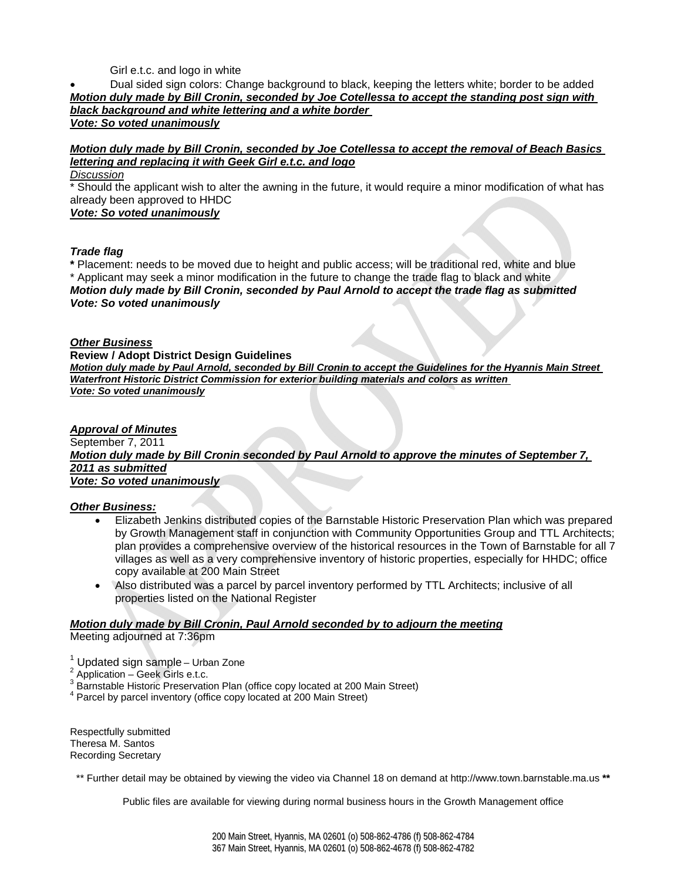Girl e.t.c. and logo in white

#### Dual sided sign colors: Change background to black, keeping the letters white; border to be added *Motion duly made by Bill Cronin, seconded by Joe Cotellessa to accept the standing post sign with black background and white lettering and a white border Vote: So voted unanimously*

# *Motion duly made by Bill Cronin, seconded by Joe Cotellessa to accept the removal of Beach Basics lettering and replacing it with Geek Girl e.t.c. and logo*

*Discussion*

\* Should the applicant wish to alter the awning in the future, it would require a minor modification of what has already been approved to HHDC

### *Vote: So voted unanimously*

## *Trade flag*

**\*** Placement: needs to be moved due to height and public access; will be traditional red, white and blue \* Applicant may seek a minor modification in the future to change the trade flag to black and white *Motion duly made by Bill Cronin, seconded by Paul Arnold to accept the trade flag as submitted Vote: So voted unanimously* 

## *Other Business*

**Review / Adopt District Design Guidelines**

*Motion duly made by Paul Arnold, seconded by Bill Cronin to accept the Guidelines for the Hyannis Main Street Waterfront Historic District Commission for exterior building materials and colors as written Vote: So voted unanimously*

*Approval of Minutes* September 7, 2011 *Motion duly made by Bill Cronin seconded by Paul Arnold to approve the minutes of September 7, 2011 as submitted Vote: So voted unanimously*

# *Other Business:*

- Elizabeth Jenkins distributed copies of the Barnstable Historic Preservation Plan which was prepared by Growth Management staff in conjunction with Community Opportunities Group and TTL Architects; plan provides a comprehensive overview of the historical resources in the Town of Barnstable for all 7 villages as well as a very comprehensive inventory of historic properties, especially for HHDC; office copy available at 200 Main Street
- Also distributed was a parcel by parcel inventory performed by TTL Architects; inclusive of all properties listed on the National Register

# *Motion duly made by Bill Cronin, Paul Arnold seconded by to adjourn the meeting*

Meeting adjourned at 7:36pm

<sup>1</sup> Updated sign sample – Urban Zone

<sup>2</sup> Application – Geek Girls e.t.c.

 $3$  Barnstable Historic Preservation Plan (office copy located at 200 Main Street)<br> $4$  Barnst by parsel inventory (office copy located at 200 Main Street)

<sup>4</sup> Parcel by parcel inventory (office copy located at 200 Main Street)

Respectfully submitted Theresa M. Santos Recording Secretary

\*\* Further detail may be obtained by viewing the video via Channel 18 on demand at http://www.town.barnstable.ma.us **\*\***

Public files are available for viewing during normal business hours in the Growth Management office